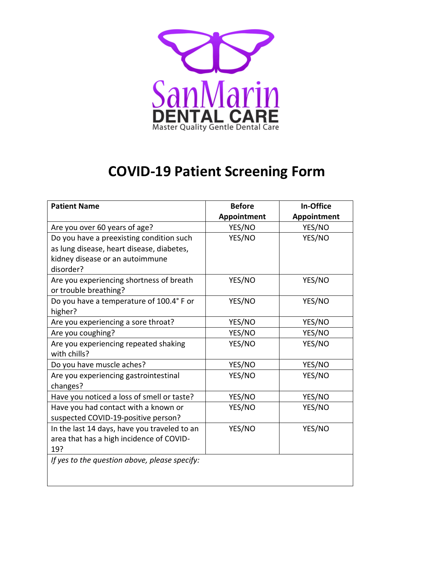

## **COVID-19 Patient Screening Form**

| <b>Patient Name</b>                           | <b>Before</b> | In-Office   |
|-----------------------------------------------|---------------|-------------|
|                                               | Appointment   | Appointment |
| Are you over 60 years of age?                 | YES/NO        | YES/NO      |
| Do you have a preexisting condition such      | YES/NO        | YES/NO      |
| as lung disease, heart disease, diabetes,     |               |             |
| kidney disease or an autoimmune               |               |             |
| disorder?                                     |               |             |
| Are you experiencing shortness of breath      | YES/NO        | YES/NO      |
| or trouble breathing?                         |               |             |
| Do you have a temperature of 100.4° F or      | YES/NO        | YES/NO      |
| higher?                                       |               |             |
| Are you experiencing a sore throat?           | YES/NO        | YES/NO      |
| Are you coughing?                             | YES/NO        | YES/NO      |
| Are you experiencing repeated shaking         | YES/NO        | YES/NO      |
| with chills?                                  |               |             |
| Do you have muscle aches?                     | YES/NO        | YES/NO      |
| Are you experiencing gastrointestinal         | YES/NO        | YES/NO      |
| changes?                                      |               |             |
| Have you noticed a loss of smell or taste?    | YES/NO        | YES/NO      |
| Have you had contact with a known or          | YES/NO        | YES/NO      |
| suspected COVID-19-positive person?           |               |             |
| In the last 14 days, have you traveled to an  | YES/NO        | YES/NO      |
| area that has a high incidence of COVID-      |               |             |
| 19?                                           |               |             |
| If yes to the question above, please specify: |               |             |
|                                               |               |             |